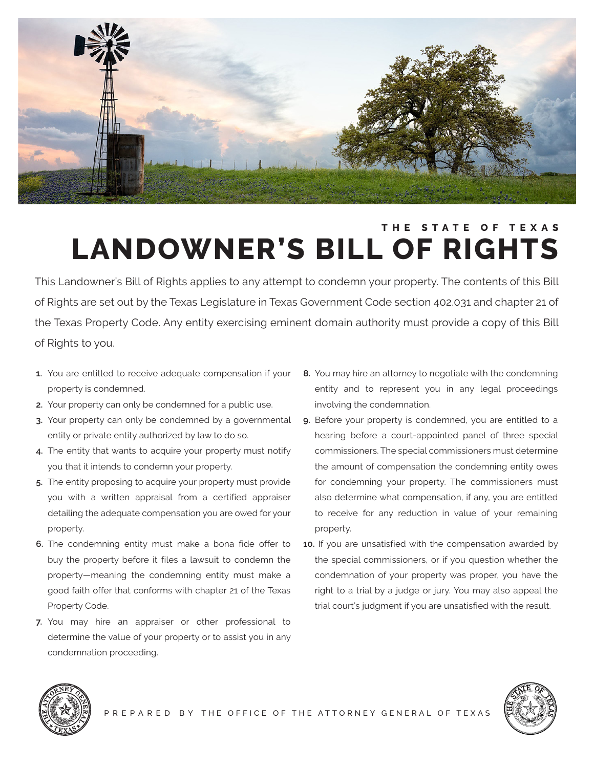

# **THE STATE OF TEXAS LANDOWNER'S BILL OF RIGHTS**

This Landowner's Bill of Rights applies to any attempt to condemn your property. The contents of this Bill of Rights are set out by the Texas Legislature in Texas Government Code section 402.031 and chapter 21 of the Texas Property Code. Any entity exercising eminent domain authority must provide a copy of this Bill of Rights to you.

- **1.** You are entitled to receive adequate compensation if your **8.** You may hire an attorney to negotiate with the condemning
- **2.** Your property can only be condemned for a public use. **involving the condemnation.**
- 
- 
- property. The property of the contract of the property.
- **6.** The condemning entity must make a bona fide offer to **10.** If you are unsatisfied with the compensation awarded by
- **7.** You may hire an appraiser or other professional to determine the value of your property or to assist you in any condemnation proceeding.
- property is condemned. entity and to represent you in any legal proceedings
- **3.** Your property can only be condemned by a governmental **9.** Before your property is condemned, you are entitled to a entity or private entity authorized by law to do so. hearing before a court-appointed panel of three special **4.** The entity that wants to acquire your property must notify commissioners. The special commissioners must determine you that it intends to condemn your property. The amount of compensation the condemning entity owes **5.** The entity proposing to acquire your property must provide for condemning your property. The commissioners must you with a written appraisal from a certified appraiser also determine what compensation, if any, you are entitled detailing the adequate compensation you are owed for your to receive for any reduction in value of your remaining
	- buy the property before it files a lawsuit to condemn the the special commissioners, or if you question whether the property—meaning the condemning entity must make a condemnation of your property was proper, you have the good faith offer that conforms with chapter 21 of the Texas right to a trial by a judge or jury. You may also appeal the Property Code. trial court's judgment if you are unsatisfied with the result.



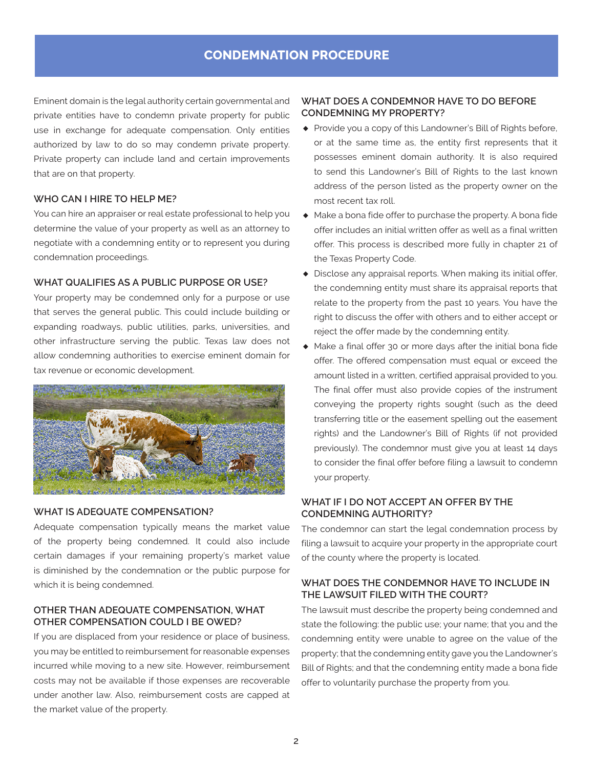# **CONDEMNATION PROCEDURE**

Eminent domain is the legal authority certain governmental and private entities have to condemn private property for public use in exchange for adequate compensation. Only entities authorized by law to do so may condemn private property. Private property can include land and certain improvements that are on that property.

# **WHO CAN I HIRE TO HELP ME?**

You can hire an appraiser or real estate professional to help you determine the value of your property as well as an attorney to negotiate with a condemning entity or to represent you during condemnation proceedings.

# **WHAT QUALIFIES AS A PUBLIC PURPOSE OR USE?**

Your property may be condemned only for a purpose or use that serves the general public. This could include building or expanding roadways, public utilities, parks, universities, and other infrastructure serving the public. Texas law does not allow condemning authorities to exercise eminent domain for tax revenue or economic development.



# **WHAT IS ADEQUATE COMPENSATION?**

Adequate compensation typically means the market value of the property being condemned. It could also include certain damages if your remaining property's market value is diminished by the condemnation or the public purpose for which it is being condemned.

# **OTHER THAN ADEQUATE COMPENSATION, WHAT OTHER COMPENSATION COULD I BE OWED?**

If you are displaced from your residence or place of business, you may be entitled to reimbursement for reasonable expenses incurred while moving to a new site. However, reimbursement costs may not be available if those expenses are recoverable under another law. Also, reimbursement costs are capped at the market value of the property.

# **WHAT DOES A CONDEMNOR HAVE TO DO BEFORE CONDEMNING MY PROPERTY?**

- **♦** Provide you a copy of this Landowner's Bill of Rights before, or at the same time as, the entity first represents that it possesses eminent domain authority. It is also required to send this Landowner's Bill of Rights to the last known address of the person listed as the property owner on the most recent tax roll.
- **♦** Make a bona fide offer to purchase the property. A bona fide offer includes an initial written offer as well as a final written offer. This process is described more fully in chapter 21 of the Texas Property Code.
- **♦** Disclose any appraisal reports. When making its initial offer, the condemning entity must share its appraisal reports that relate to the property from the past 10 years. You have the right to discuss the offer with others and to either accept or reject the offer made by the condemning entity.
- **♦** Make a final offer 30 or more days after the initial bona fide offer. The offered compensation must equal or exceed the amount listed in a written, certified appraisal provided to you. The final offer must also provide copies of the instrument conveying the property rights sought (such as the deed transferring title or the easement spelling out the easement rights) and the Landowner's Bill of Rights (if not provided previously). The condemnor must give you at least 14 days to consider the final offer before filing a lawsuit to condemn your property.

# **WHAT IF I DO NOT ACCEPT AN OFFER BY THE CONDEMNING AUTHORITY?**

The condemnor can start the legal condemnation process by filing a lawsuit to acquire your property in the appropriate court of the county where the property is located.

# **WHAT DOES THE CONDEMNOR HAVE TO INCLUDE IN THE LAWSUIT FILED WITH THE COURT?**

The lawsuit must describe the property being condemned and state the following: the public use; your name; that you and the condemning entity were unable to agree on the value of the property; that the condemning entity gave you the Landowner's Bill of Rights; and that the condemning entity made a bona fide offer to voluntarily purchase the property from you.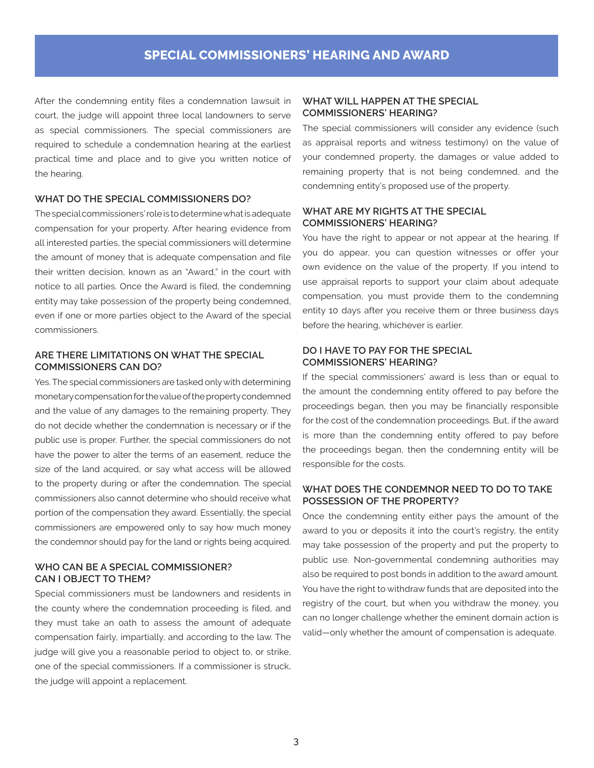After the condemning entity files a condemnation lawsuit in court, the judge will appoint three local landowners to serve as special commissioners. The special commissioners are required to schedule a condemnation hearing at the earliest practical time and place and to give you written notice of the hearing.

# **WHAT DO THE SPECIAL COMMISSIONERS DO?**

The special commissioners' role is to determine what is adequate compensation for your property. After hearing evidence from all interested parties, the special commissioners will determine the amount of money that is adequate compensation and file their written decision, known as an "Award," in the court with notice to all parties. Once the Award is filed, the condemning entity may take possession of the property being condemned, even if one or more parties object to the Award of the special commissioners.

# **ARE THERE LIMITATIONS ON WHAT THE SPECIAL COMMISSIONERS CAN DO?**

Yes. The special commissioners are tasked only with determining monetary compensation for the value of the property condemned and the value of any damages to the remaining property. They do not decide whether the condemnation is necessary or if the public use is proper. Further, the special commissioners do not have the power to alter the terms of an easement, reduce the size of the land acquired, or say what access will be allowed to the property during or after the condemnation. The special commissioners also cannot determine who should receive what portion of the compensation they award. Essentially, the special commissioners are empowered only to say how much money the condemnor should pay for the land or rights being acquired.

# **WHO CAN BE A SPECIAL COMMISSIONER? CAN I OBJECT TO THEM?**

Special commissioners must be landowners and residents in the county where the condemnation proceeding is filed, and they must take an oath to assess the amount of adequate compensation fairly, impartially, and according to the law. The judge will give you a reasonable period to object to, or strike, one of the special commissioners. If a commissioner is struck, the judge will appoint a replacement.

# **WHAT WILL HAPPEN AT THE SPECIAL COMMISSIONERS' HEARING?**

The special commissioners will consider any evidence (such as appraisal reports and witness testimony) on the value of your condemned property, the damages or value added to remaining property that is not being condemned, and the condemning entity's proposed use of the property.

#### **WHAT ARE MY RIGHTS AT THE SPECIAL COMMISSIONERS' HEARING?**

You have the right to appear or not appear at the hearing. If you do appear, you can question witnesses or offer your own evidence on the value of the property. If you intend to use appraisal reports to support your claim about adequate compensation, you must provide them to the condemning entity 10 days after you receive them or three business days before the hearing, whichever is earlier.

## **DO I HAVE TO PAY FOR THE SPECIAL COMMISSIONERS' HEARING?**

If the special commissioners' award is less than or equal to the amount the condemning entity offered to pay before the proceedings began, then you may be financially responsible for the cost of the condemnation proceedings. But, if the award is more than the condemning entity offered to pay before the proceedings began, then the condemning entity will be responsible for the costs.

#### **WHAT DOES THE CONDEMNOR NEED TO DO TO TAKE POSSESSION OF THE PROPERTY?**

Once the condemning entity either pays the amount of the award to you or deposits it into the court's registry, the entity may take possession of the property and put the property to public use. Non-governmental condemning authorities may also be required to post bonds in addition to the award amount. You have the right to withdraw funds that are deposited into the registry of the court, but when you withdraw the money, you can no longer challenge whether the eminent domain action is valid—only whether the amount of compensation is adequate.